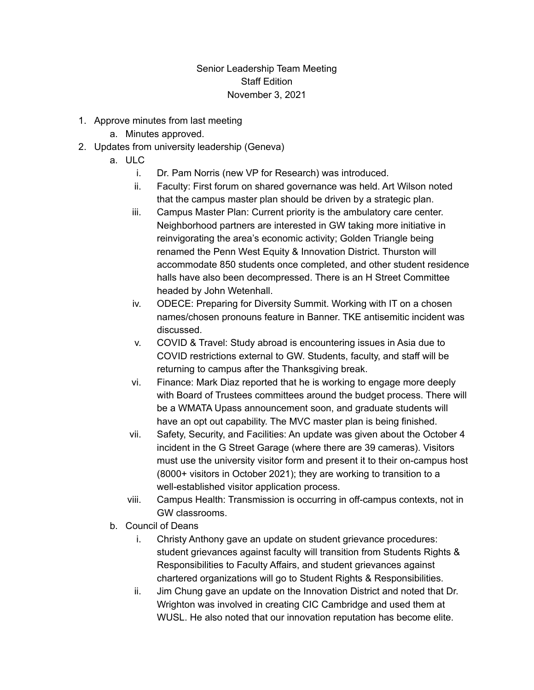## Senior Leadership Team Meeting Staff Edition November 3, 2021

- 1. Approve minutes from last meeting
	- a. Minutes approved.
- 2. Updates from university leadership (Geneva)
	- a. ULC
		- i. Dr. Pam Norris (new VP for Research) was introduced.
		- ii. Faculty: First forum on shared governance was held. Art Wilson noted that the campus master plan should be driven by a strategic plan.
		- iii. Campus Master Plan: Current priority is the ambulatory care center. Neighborhood partners are interested in GW taking more initiative in reinvigorating the area's economic activity; Golden Triangle being renamed the Penn West Equity & Innovation District. Thurston will accommodate 850 students once completed, and other student residence halls have also been decompressed. There is an H Street Committee headed by John Wetenhall.
		- iv. ODECE: Preparing for Diversity Summit. Working with IT on a chosen names/chosen pronouns feature in Banner. TKE antisemitic incident was discussed.
		- v. COVID & Travel: Study abroad is encountering issues in Asia due to COVID restrictions external to GW. Students, faculty, and staff will be returning to campus after the Thanksgiving break.
		- vi. Finance: Mark Diaz reported that he is working to engage more deeply with Board of Trustees committees around the budget process. There will be a WMATA Upass announcement soon, and graduate students will have an opt out capability. The MVC master plan is being finished.
		- vii. Safety, Security, and Facilities: An update was given about the October 4 incident in the G Street Garage (where there are 39 cameras). Visitors must use the university visitor form and present it to their on-campus host (8000+ visitors in October 2021); they are working to transition to a well-established visitor application process.
		- viii. Campus Health: Transmission is occurring in off-campus contexts, not in GW classrooms.
	- b. Council of Deans
		- i. Christy Anthony gave an update on student grievance procedures: student grievances against faculty will transition from Students Rights & Responsibilities to Faculty Affairs, and student grievances against chartered organizations will go to Student Rights & Responsibilities.
		- ii. Jim Chung gave an update on the Innovation District and noted that Dr. Wrighton was involved in creating CIC Cambridge and used them at WUSL. He also noted that our innovation reputation has become elite.